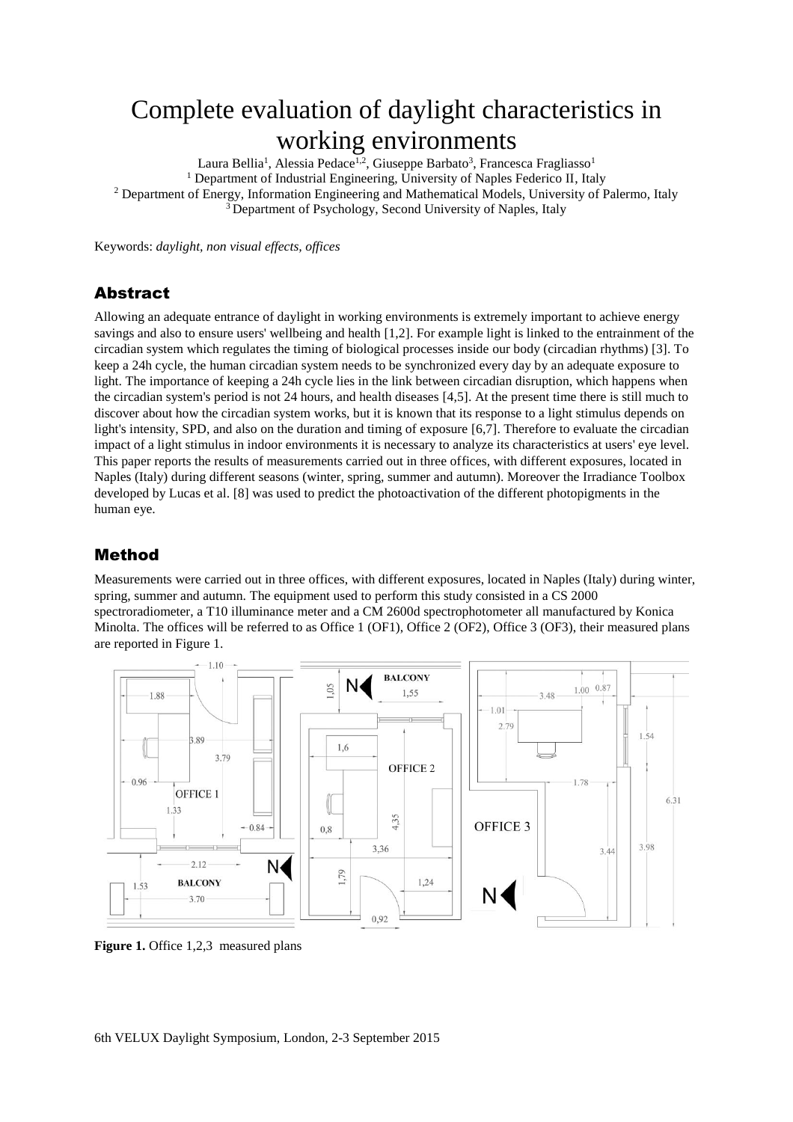# Complete evaluation of daylight characteristics in working environments

Laura Bellia<sup>1</sup>, Alessia Pedace<sup>1,2</sup>, Giuseppe Barbato<sup>3</sup>, Francesca Fragliasso<sup>1</sup> <sup>1</sup> Department of Industrial Engineering, University of Naples Federico II, Italy <sup>2</sup> Department of Energy, Information Engineering and Mathematical Models, University of Palermo, Italy <sup>3</sup> Department of Psychology, Second University of Naples, Italy

Keywords: *daylight, non visual effects, offices*

### Abstract

Allowing an adequate entrance of daylight in working environments is extremely important to achieve energy savings and also to ensure users' wellbeing and health [1,2]. For example light is linked to the entrainment of the circadian system which regulates the timing of biological processes inside our body (circadian rhythms) [3]. To keep a 24h cycle, the human circadian system needs to be synchronized every day by an adequate exposure to light. The importance of keeping a 24h cycle lies in the link between circadian disruption, which happens when the circadian system's period is not 24 hours, and health diseases [4,5]. At the present time there is still much to discover about how the circadian system works, but it is known that its response to a light stimulus depends on light's intensity, SPD, and also on the duration and timing of exposure [6,7]. Therefore to evaluate the circadian impact of a light stimulus in indoor environments it is necessary to analyze its characteristics at users' eye level. This paper reports the results of measurements carried out in three offices, with different exposures, located in Naples (Italy) during different seasons (winter, spring, summer and autumn). Moreover the Irradiance Toolbox developed by Lucas et al. [8] was used to predict the photoactivation of the different photopigments in the human eye.

### Method

Measurements were carried out in three offices, with different exposures, located in Naples (Italy) during winter, spring, summer and autumn. The equipment used to perform this study consisted in a CS 2000 spectroradiometer, a T10 illuminance meter and a CM 2600d spectrophotometer all manufactured by Konica Minolta. The offices will be referred to as Office 1 (OF1), Office 2 (OF2), Office 3 (OF3), their measured plans are reported in Figure 1.



**Figure 1.** Office 1,2,3 measured plans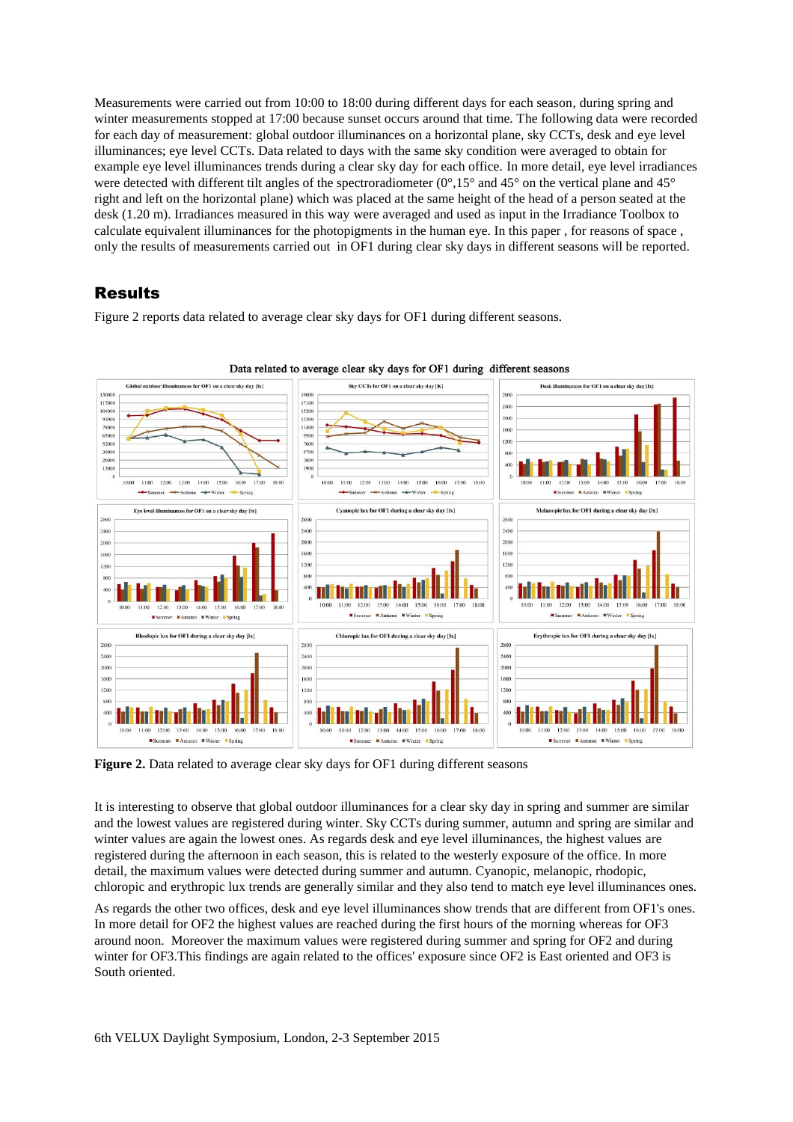Measurements were carried out from 10:00 to 18:00 during different days for each season, during spring and winter measurements stopped at 17:00 because sunset occurs around that time. The following data were recorded for each day of measurement: global outdoor illuminances on a horizontal plane, sky CCTs, desk and eye level illuminances; eye level CCTs. Data related to days with the same sky condition were averaged to obtain for example eye level illuminances trends during a clear sky day for each office. In more detail, eye level irradiances were detected with different tilt angles of the spectroradiometer ( $0^{\circ}$ ,15° and 45° on the vertical plane and 45° right and left on the horizontal plane) which was placed at the same height of the head of a person seated at the desk (1.20 m). Irradiances measured in this way were averaged and used as input in the Irradiance Toolbox to calculate equivalent illuminances for the photopigments in the human eye. In this paper , for reasons of space , only the results of measurements carried out in OF1 during clear sky days in different seasons will be reported.

## Results

Figure 2 reports data related to average clear sky days for OF1 during different seasons.



Data related to average clear sky days for OF1 during different seasons

**Figure 2.** Data related to average clear sky days for OF1 during different seasons

It is interesting to observe that global outdoor illuminances for a clear sky day in spring and summer are similar and the lowest values are registered during winter. Sky CCTs during summer, autumn and spring are similar and winter values are again the lowest ones. As regards desk and eye level illuminances, the highest values are registered during the afternoon in each season, this is related to the westerly exposure of the office. In more detail, the maximum values were detected during summer and autumn. Cyanopic, melanopic, rhodopic, chloropic and erythropic lux trends are generally similar and they also tend to match eye level illuminances ones.

As regards the other two offices, desk and eye level illuminances show trends that are different from OF1's ones. In more detail for OF2 the highest values are reached during the first hours of the morning whereas for OF3 around noon. Moreover the maximum values were registered during summer and spring for OF2 and during winter for OF3.This findings are again related to the offices' exposure since OF2 is East oriented and OF3 is South oriented.